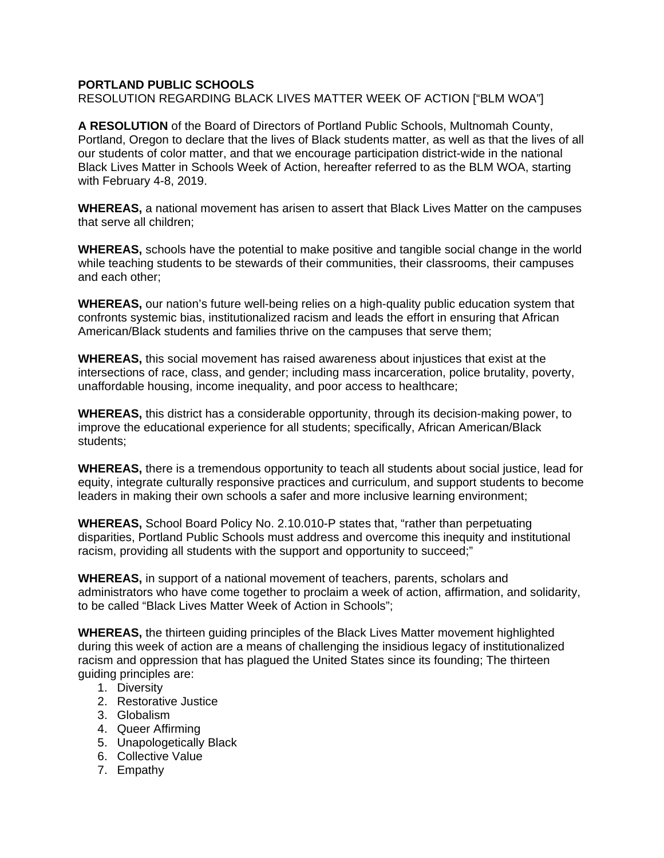## **PORTLAND PUBLIC SCHOOLS**

RESOLUTION REGARDING BLACK LIVES MATTER WEEK OF ACTION ["BLM WOA"]

**A RESOLUTION** of the Board of Directors of Portland Public Schools, Multnomah County, Portland, Oregon to declare that the lives of Black students matter, as well as that the lives of all our students of color matter, and that we encourage participation district-wide in the national Black Lives Matter in Schools Week of Action, hereafter referred to as the BLM WOA, starting with February 4-8, 2019.

**WHEREAS,** a national movement has arisen to assert that Black Lives Matter on the campuses that serve all children;

**WHEREAS,** schools have the potential to make positive and tangible social change in the world while teaching students to be stewards of their communities, their classrooms, their campuses and each other;

**WHEREAS,** our nation's future well-being relies on a high-quality public education system that confronts systemic bias, institutionalized racism and leads the effort in ensuring that African American/Black students and families thrive on the campuses that serve them;

**WHEREAS,** this social movement has raised awareness about injustices that exist at the intersections of race, class, and gender; including mass incarceration, police brutality, poverty, unaffordable housing, income inequality, and poor access to healthcare;

**WHEREAS,** this district has a considerable opportunity, through its decision-making power, to improve the educational experience for all students; specifically, African American/Black students;

**WHEREAS,** there is a tremendous opportunity to teach all students about social justice, lead for equity, integrate culturally responsive practices and curriculum, and support students to become leaders in making their own schools a safer and more inclusive learning environment;

**WHEREAS,** School Board Policy No. 2.10.010-P states that, "rather than perpetuating disparities, Portland Public Schools must address and overcome this inequity and institutional racism, providing all students with the support and opportunity to succeed;"

**WHEREAS,** in support of a national movement of teachers, parents, scholars and administrators who have come together to proclaim a week of action, affirmation, and solidarity, to be called "Black Lives Matter Week of Action in Schools";

**WHEREAS,** the thirteen guiding principles of the Black Lives Matter movement highlighted during this week of action are a means of challenging the insidious legacy of institutionalized racism and oppression that has plagued the United States since its founding; The thirteen guiding principles are:

- 1. Diversity
- 2. Restorative Justice
- 3. Globalism
- 4. Queer Affirming
- 5. Unapologetically Black
- 6. Collective Value
- 7. Empathy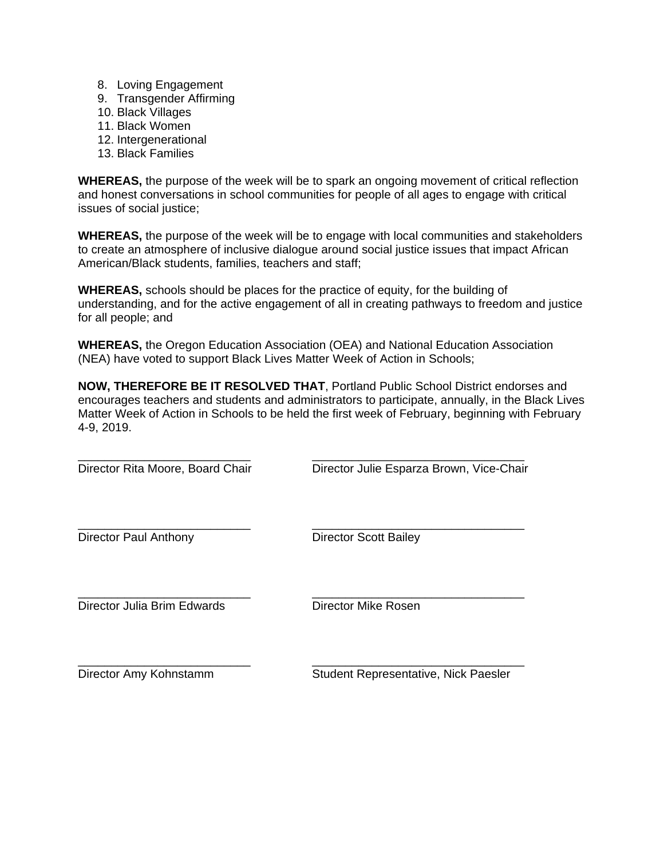- 8. Loving Engagement
- 9. Transgender Affirming
- 10. Black Villages
- 11. Black Women
- 12. Intergenerational
- 13. Black Families

**WHEREAS,** the purpose of the week will be to spark an ongoing movement of critical reflection and honest conversations in school communities for people of all ages to engage with critical issues of social justice;

**WHEREAS,** the purpose of the week will be to engage with local communities and stakeholders to create an atmosphere of inclusive dialogue around social justice issues that impact African American/Black students, families, teachers and staff;

**WHEREAS,** schools should be places for the practice of equity, for the building of understanding, and for the active engagement of all in creating pathways to freedom and justice for all people; and

**WHEREAS,** the Oregon Education Association (OEA) and National Education Association (NEA) have voted to support Black Lives Matter Week of Action in Schools;

**NOW, THEREFORE BE IT RESOLVED THAT**, Portland Public School District endorses and encourages teachers and students and administrators to participate, annually, in the Black Lives Matter Week of Action in Schools to be held the first week of February, beginning with February 4-9, 2019.

\_\_\_\_\_\_\_\_\_\_\_\_\_\_\_\_\_\_\_\_\_\_\_\_\_\_ \_\_\_\_\_\_\_\_\_\_\_\_\_\_\_\_\_\_\_\_\_\_\_\_\_\_\_\_\_\_\_\_ Director Rita Moore, Board Chair **Director Julie Esparza Brown, Vice-Chair** \_\_\_\_\_\_\_\_\_\_\_\_\_\_\_\_\_\_\_\_\_\_\_\_\_\_ \_\_\_\_\_\_\_\_\_\_\_\_\_\_\_\_\_\_\_\_\_\_\_\_\_\_\_\_\_\_\_\_ Director Paul Anthony Director Scott Bailey \_\_\_\_\_\_\_\_\_\_\_\_\_\_\_\_\_\_\_\_\_\_\_\_\_\_ \_\_\_\_\_\_\_\_\_\_\_\_\_\_\_\_\_\_\_\_\_\_\_\_\_\_\_\_\_\_\_\_ Director Julia Brim Edwards Director Mike Rosen \_\_\_\_\_\_\_\_\_\_\_\_\_\_\_\_\_\_\_\_\_\_\_\_\_\_ \_\_\_\_\_\_\_\_\_\_\_\_\_\_\_\_\_\_\_\_\_\_\_\_\_\_\_\_\_\_\_\_ Director Amy Kohnstamm Student Representative, Nick Paesler